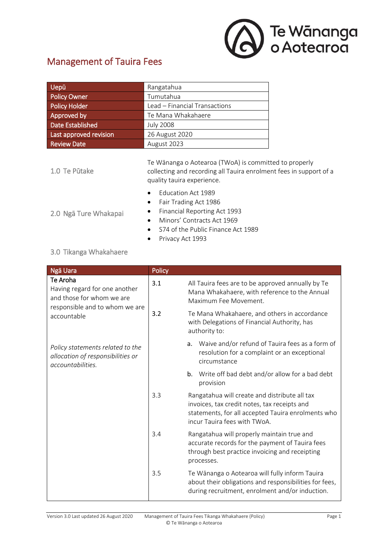

## Management of Tauira Fees

| Uepū                    | Rangatahua                                                                                                                                                          |  |
|-------------------------|---------------------------------------------------------------------------------------------------------------------------------------------------------------------|--|
| <b>Policy Owner</b>     | Tumutahua                                                                                                                                                           |  |
| <b>Policy Holder</b>    | Lead – Financial Transactions                                                                                                                                       |  |
| Approved by             | Te Mana Whakahaere                                                                                                                                                  |  |
| <b>Date Established</b> | <b>July 2008</b>                                                                                                                                                    |  |
| Last approved revision  | 26 August 2020                                                                                                                                                      |  |
| <b>Review Date</b>      | August 2023                                                                                                                                                         |  |
| 1.0 Te Pūtake           | Te Wānanga o Aotearoa (TWoA) is committed to properly<br>collecting and recording all Tauira enrolment fees in support of a<br>quality tauira experience.           |  |
| 2.0 Ngā Ture Whakapai   | Education Act 1989<br>Fair Trading Act 1986<br>Financial Reporting Act 1993<br>Minors' Contracts Act 1969<br>S74 of the Public Finance Act 1989<br>Privacy Act 1993 |  |

## 3.0 Tikanga Whakahaere

| Ngā Uara                                                                                                                | Policy |                                                                                                                                                                                     |
|-------------------------------------------------------------------------------------------------------------------------|--------|-------------------------------------------------------------------------------------------------------------------------------------------------------------------------------------|
| Te Aroha<br>Having regard for one another<br>and those for whom we are<br>responsible and to whom we are<br>accountable | 3.1    | All Tauira fees are to be approved annually by Te<br>Mana Whakahaere, with reference to the Annual<br>Maximum Fee Movement.                                                         |
|                                                                                                                         | 3.2    | Te Mana Whakahaere, and others in accordance<br>with Delegations of Financial Authority, has<br>authority to:                                                                       |
| Policy statements related to the<br>allocation of responsibilities or<br>accountabilities.                              |        | Waive and/or refund of Tauira fees as a form of<br>a.<br>resolution for a complaint or an exceptional<br>circumstance                                                               |
|                                                                                                                         |        | Write off bad debt and/or allow for a bad debt<br>b.<br>provision                                                                                                                   |
|                                                                                                                         | 3.3    | Rangatahua will create and distribute all tax<br>invoices, tax credit notes, tax receipts and<br>statements, for all accepted Tauira enrolments who<br>incur Tauira fees with TWoA. |
|                                                                                                                         | 3.4    | Rangatahua will properly maintain true and<br>accurate records for the payment of Tauira fees<br>through best practice invoicing and receipting<br>processes.                       |
|                                                                                                                         | 3.5    | Te Wānanga o Aotearoa will fully inform Tauira<br>about their obligations and responsibilities for fees,<br>during recruitment, enrolment and/or induction.                         |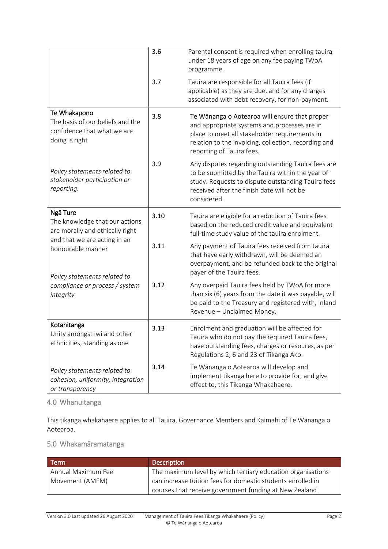|                                                                                                                                    | 3.6  | Parental consent is required when enrolling tauira<br>under 18 years of age on any fee paying TWoA<br>programme.                                                                                                                    |
|------------------------------------------------------------------------------------------------------------------------------------|------|-------------------------------------------------------------------------------------------------------------------------------------------------------------------------------------------------------------------------------------|
|                                                                                                                                    | 3.7  | Tauira are responsible for all Tauira fees (if<br>applicable) as they are due, and for any charges<br>associated with debt recovery, for non-payment.                                                                               |
| Te Whakapono<br>The basis of our beliefs and the<br>confidence that what we are<br>doing is right                                  | 3.8  | Te Wānanga o Aotearoa will ensure that proper<br>and appropriate systems and processes are in<br>place to meet all stakeholder requirements in<br>relation to the invoicing, collection, recording and<br>reporting of Tauira fees. |
| Policy statements related to<br>stakeholder participation or<br>reporting.                                                         | 3.9  | Any disputes regarding outstanding Tauira fees are<br>to be submitted by the Tauira within the year of<br>study. Requests to dispute outstanding Tauira fees<br>received after the finish date will not be<br>considered.           |
| Ngā Ture<br>The knowledge that our actions<br>are morally and ethically right<br>and that we are acting in an<br>honourable manner | 3.10 | Tauira are eligible for a reduction of Tauira fees<br>based on the reduced credit value and equivalent<br>full-time study value of the tauira enrolment.                                                                            |
|                                                                                                                                    | 3.11 | Any payment of Tauira fees received from tauira<br>that have early withdrawn, will be deemed an<br>overpayment, and be refunded back to the original<br>payer of the Tauira fees.                                                   |
| Policy statements related to<br>compliance or process / system<br>integrity                                                        | 3.12 | Any overpaid Tauira fees held by TWoA for more<br>than six (6) years from the date it was payable, will<br>be paid to the Treasury and registered with, Inland<br>Revenue - Unclaimed Money.                                        |
| Kotahitanga<br>Unity amongst iwi and other<br>ethnicities, standing as one                                                         | 3.13 | Enrolment and graduation will be affected for<br>Tauira who do not pay the required Tauira fees,<br>have outstanding fees, charges or resoures, as per<br>Regulations 2, 6 and 23 of Tikanga Ako.                                   |
| Policy statements related to<br>cohesion, uniformity, integration<br>or transparency                                               | 3.14 | Te Wānanga o Aotearoa will develop and<br>implement tikanga here to provide for, and give<br>effect to, this Tikanga Whakahaere.                                                                                                    |

4.0 Whanuitanga

This tikanga whakahaere applies to all Tauira, Governance Members and Kaimahi of Te Wānanga o Aotearoa.

## 5.0 Whakamāramatanga

| <b>Term</b>        | <b>Description</b>                                          |
|--------------------|-------------------------------------------------------------|
| Annual Maximum Fee | The maximum level by which tertiary education organisations |
| Movement (AMFM)    | can increase tuition fees for domestic students enrolled in |
|                    | courses that receive government funding at New Zealand      |